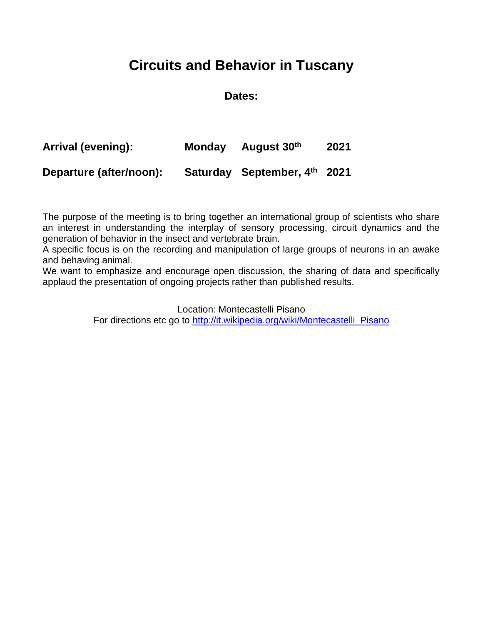#### **Circuits and Behavior in Tuscany**

#### **Dates:**

| Arrival (evening):      | Monday August 30th           | 2021 |
|-------------------------|------------------------------|------|
| Departure (after/noon): | Saturday September, 4th 2021 |      |

The purpose of the meeting is to bring together an international group of scientists who share an interest in understanding the interplay of sensory processing, circuit dynamics and the generation of behavior in the insect and vertebrate brain.

A specific focus is on the recording and manipulation of large groups of neurons in an awake and behaving animal.

We want to emphasize and encourage open discussion, the sharing of data and specifically applaud the presentation of ongoing projects rather than published results.

Location: Montecastelli Pisano

For directions etc go to [http://it.wikipedia.org/wiki/Montecastelli\\_Pisano](http://it.wikipedia.org/wiki/Montecastelli_Pisano)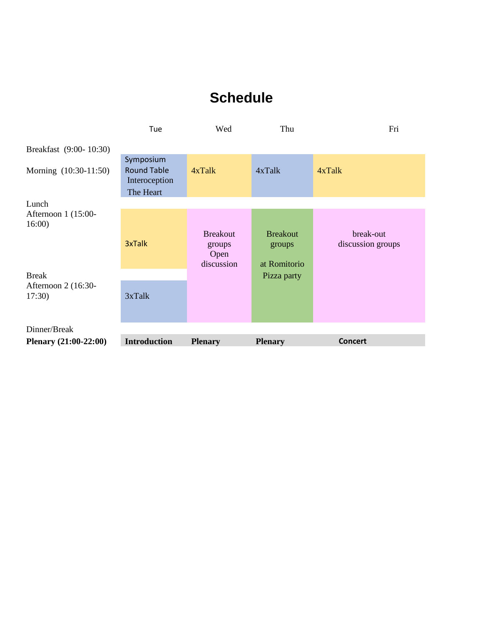#### **Schedule**

|                               | Tue                                                           | Wed                          | Thu                    | Fri               |
|-------------------------------|---------------------------------------------------------------|------------------------------|------------------------|-------------------|
| Breakfast (9:00-10:30)        |                                                               |                              |                        |                   |
| Morning (10:30-11:50)         | Symposium<br><b>Round Table</b><br>Interoception<br>The Heart | 4xTalk                       | 4xTalk                 | 4xTalk            |
| Lunch                         |                                                               |                              |                        |                   |
| Afternoon 1 (15:00-<br>16:00  |                                                               | <b>Breakout</b>              | <b>Breakout</b>        | break-out         |
|                               | 3xTalk                                                        | groups<br>Open<br>discussion | groups<br>at Romitorio | discussion groups |
| <b>Break</b>                  |                                                               |                              | Pizza party            |                   |
| Afternoon 2 (16:30-<br>17:30) | 3xTalk                                                        |                              |                        |                   |
| Dinner/Break                  |                                                               |                              |                        |                   |
| Plenary (21:00-22:00)         | <b>Introduction</b>                                           | <b>Plenary</b>               | <b>Plenary</b>         | <b>Concert</b>    |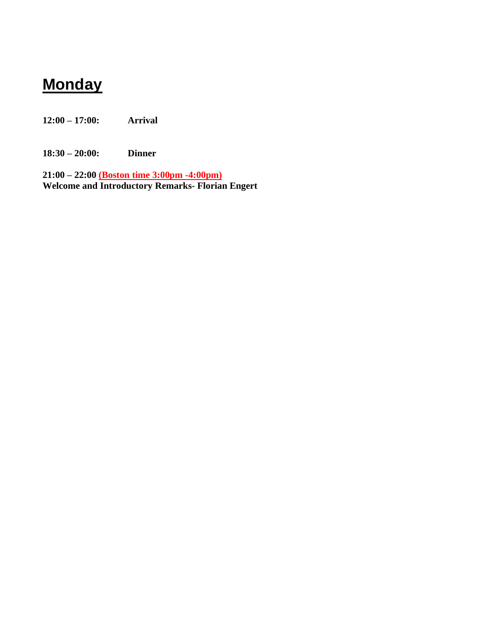## **Monday**

**12:00 – 17:00: Arrival**

**18:30 – 20:00: Dinner**

**21:00 – 22:00 (Boston time 3:00pm -4:00pm) Welcome and Introductory Remarks- Florian Engert**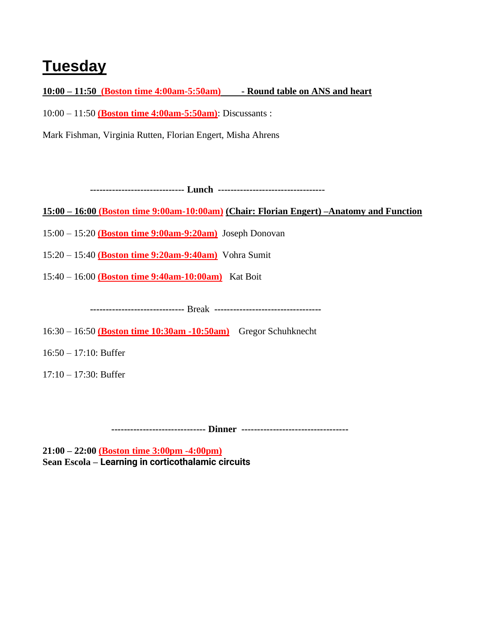# **Tuesday**

**10:00 – 11:50 (Boston time 4:00am-5:50am) - Round table on ANS and heart**

10:00 – 11:50 **(Boston time 4:00am-5:50am)**: Discussants :

Mark Fishman, Virginia Rutten, Florian Engert, Misha Ahrens

 **------------------------------ Lunch ----------------------------------**

**15:00 – 16:00 (Boston time 9:00am-10:00am) (Chair: Florian Engert) –Anatomy and Function**

15:00 – 15:20 **(Boston time 9:00am-9:20am)** Joseph Donovan

15:20 – 15:40 **(Boston time 9:20am-9:40am)** Vohra Sumit

15:40 – 16:00 **(Boston time 9:40am-10:00am)** Kat Boit

 **------------------------------** Break **----------------------------------**

16:30 – 16:50 **(Boston time 10:30am -10:50am)** Gregor Schuhknecht

16:50 – 17:10: Buffer

17:10 – 17:30: Buffer

 **------------------------------ Dinner ----------------------------------**

**21:00 – 22:00 (Boston time 3:00pm -4:00pm) Sean Escola – Learning in corticothalamic circuits**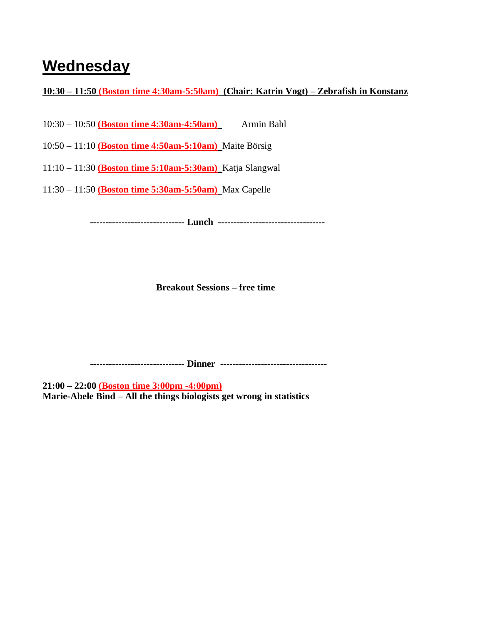## **Wednesday**

**10:30 – 11:50 (Boston time 4:30am-5:50am) (Chair: Katrin Vogt) – Zebrafish in Konstanz**

10:30 – 10:50 **(Boston time 4:30am-4:50am)** Armin Bahl

10:50 – 11:10 **(Boston time 4:50am-5:10am)** Maite Börsig

11:10 – 11:30 **(Boston time 5:10am-5:30am)** Katja Slangwal

11:30 – 11:50 **(Boston time 5:30am-5:50am)** Max Capelle

 **------------------------------ Lunch ----------------------------------**

**Breakout Sessions – free time**

 **------------------------------ Dinner ----------------------------------**

**21:00 – 22:00 (Boston time 3:00pm -4:00pm) Marie-Abele Bind – All the things biologists get wrong in statistics**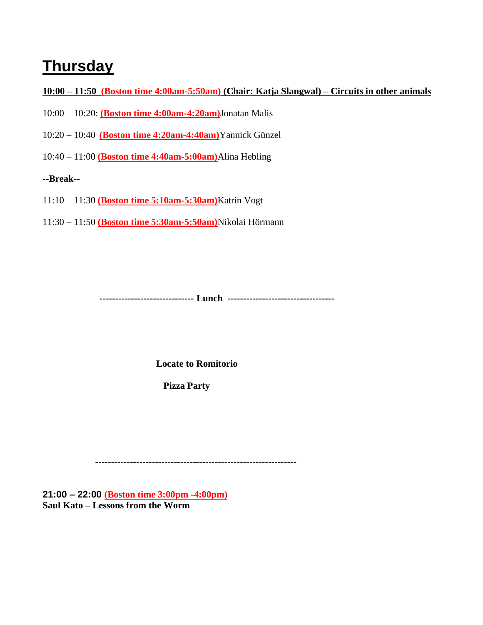#### **Thursday**

**10:00 – 11:50 (Boston time 4:00am-5:50am) (Chair: Katja Slangwal) – Circuits in other animals** 

- 10:00 10:20: **(Boston time 4:00am-4:20am)**Jonatan Malis
- 10:20 10:40 **(Boston time 4:20am-4:40am)**Yannick Günzel
- 10:40 11:00 **(Boston time 4:40am-5:00am)**Alina Hebling

**--Break--**

- 11:10 11:30 **(Boston time 5:10am-5:30am)**Katrin Vogt
- 11:30 11:50 **(Boston time 5:30am-5:50am)**Nikolai Hörmann

**------------------------------ Lunch ----------------------------------**

**Locate to Romitorio**

 **Pizza Party**

 **----------------------------------------------------------------**

**21:00 – 22:00 (Boston time 3:00pm -4:00pm) Saul Kato – Lessons from the Worm**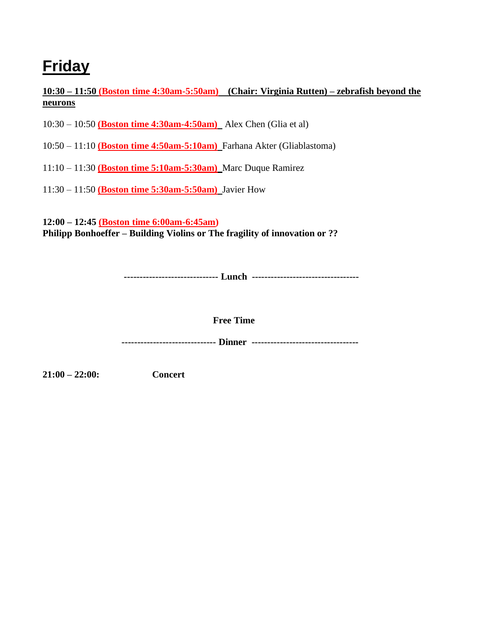# **Friday**

**10:30 – 11:50 (Boston time 4:30am-5:50am) (Chair: Virginia Rutten) – zebrafish beyond the neurons**

- 10:30 10:50 **(Boston time 4:30am-4:50am)** Alex Chen (Glia et al)
- 10:50 11:10 **(Boston time 4:50am-5:10am)** Farhana Akter (Gliablastoma)
- 11:10 11:30 **(Boston time 5:10am-5:30am)** Marc Duque Ramirez
- 11:30 11:50 **(Boston time 5:30am-5:50am)** Javier How

**12:00 – 12:45 (Boston time 6:00am-6:45am) Philipp Bonhoeffer – Building Violins or The fragility of innovation or ??**

**------------------------------ Lunch ----------------------------------**

**Free Time**

 **------------------------------ Dinner ----------------------------------**

**21:00 – 22:00: Concert**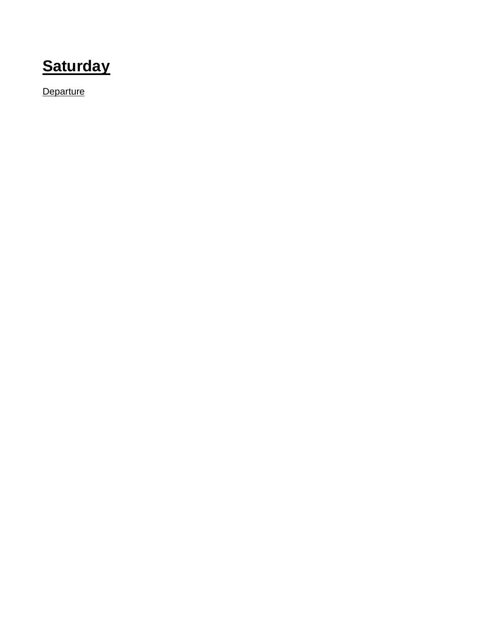**Saturday**

**Departure**